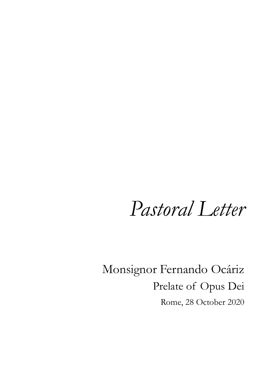# *Pastoral Letter*

Monsignor Fernando Ocáriz Prelate of Opus Dei Rome, 28 October 2020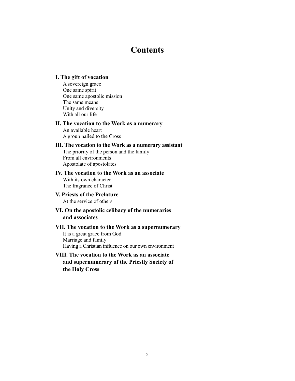# **Contents**

# **I. The gift of vocation**

A sovereign grace One same spirit One same apostolic mission The same means Unity and diversity With all our life

## **II. The vocation to the Work as a numerary**

An available heart A group nailed to the Cross

#### **III. The vocation to the Work as a numerary assistant**

The priority of the person and the family From all environments Apostolate of apostolates

# **IV. The vocation to the Work as an associate**

With its own character The fragrance of Christ

#### **V. Priests of the Prelature** At the service of others

# **VI. On the apostolic celibacy of the numeraries and associates**

#### **VII. The vocation to the Work as a supernumerary**

It is a great grace from God Marriage and family Having a Christian influence on our own environment

# **VIII. The vocation to the Work as an associate and supernumerary of the Priestly Society of the Holy Cross**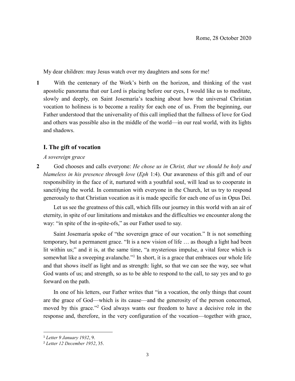My dear children: may Jesus watch over my daughters and sons for me!

**1** With the centenary of the Work's birth on the horizon, and thinking of the vast apostolic panorama that our Lord is placing before our eyes, I would like us to meditate, slowly and deeply, on Saint Josemaría's teaching about how the universal Christian vocation to holiness is to become a reality for each one of us. From the beginning, our Father understood that the universality of this call implied that the fullness of love for God and others was possible also in the middle of the world—in our real world, with its lights and shadows.

# **I. The gift of vocation**

*A sovereign grace*

**2** God chooses and calls everyone: *He chose us in Christ, that we should be holy and blameless in his presence through love* (*Eph* 1:4). Our awareness of this gift and of our responsibility in the face of it, nurtured with a youthful soul, will lead us to cooperate in sanctifying the world. In communion with everyone in the Church, let us try to respond generously to that Christian vocation as it is made specific for each one of us in Opus Dei.

Let us see the greatness of this call, which fills our journey in this world with an air of eternity, in spite of our limitations and mistakes and the difficulties we encounter along the way: "in spite of the in-spite-ofs," as our Father used to say.

Saint Josemaría spoke of "the sovereign grace of our vocation." It is not something temporary, but a permanent grace. "It is a new vision of life … as though a light had been lit within us;" and it is, at the same time, "a mysterious impulse, a vital force which is somewhat like a sweeping avalanche."<sup>1</sup> In short, it is a grace that embraces our whole life and that shows itself as light and as strength: light, so that we can see the way, see what God wants of us; and strength, so as to be able to respond to the call, to say yes and to go forward on the path.

In one of his letters, our Father writes that "in a vocation, the only things that count are the grace of God—which is its cause—and the generosity of the person concerned, moved by this grace."<sup>2</sup> God always wants our freedom to have a decisive role in the response and, therefore, in the very configuration of the vocation—together with grace,

<sup>1</sup> *Letter 9 January 1932*, 9.

<sup>2</sup> *Letter 12 December 1952*, 35.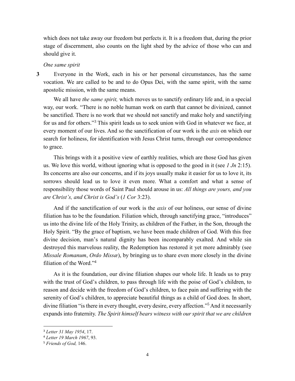which does not take away our freedom but perfects it. It is a freedom that, during the prior stage of discernment, also counts on the light shed by the advice of those who can and should give it.

#### *One same spirit*

**3** Everyone in the Work, each in his or her personal circumstances, has the same vocation. We are called to be and to do Opus Dei, with the same spirit, with the same apostolic mission, with the same means.

We all have *the same spirit,* which moves us to sanctify ordinary life and, in a special way, our work. "There is no noble human work on earth that cannot be divinized, cannot be sanctified. There is no work that we should not sanctify and make holy and sanctifying for us and for others."<sup>3</sup> This spirit leads us to seek union with God in whatever we face, at every moment of our lives. And so the sanctification of our work is the *axis* on which our search for holiness, for identification with Jesus Christ turns, through our correspondence to grace.

This brings with it a positive view of earthly realities, which are those God has given us. We love this world, without ignoring what is opposed to the good in it (see *1 Jn* 2:15). Its concerns are also our concerns, and if its joys usually make it easier for us to love it, its sorrows should lead us to love it even more. What a comfort and what a sense of responsibility those words of Saint Paul should arouse in us: *All things are yours, and you are Christ's, and Christ is God's* (*1 Cor* 3:23).

And if the sanctification of our work is the *axis* of our holiness, our sense of divine filiation has to be the foundation. Filiation which, through sanctifying grace, "introduces" us into the divine life of the Holy Trinity, as children of the Father, in the Son, through the Holy Spirit. "By the grace of baptism, we have been made children of God. With this free divine decision, man's natural dignity has been incomparably exalted. And while sin destroyed this marvelous reality, the Redemption has restored it yet more admirably (see *Missale Romanum*, *Ordo Missæ*), by bringing us to share even more closely in the divine filiation of the Word."<sup>4</sup>

As it is the foundation, our divine filiation shapes our whole life. It leads us to pray with the trust of God's children, to pass through life with the poise of God's children, to reason and decide with the freedom of God's children, to face pain and suffering with the serenity of God's children, to appreciate beautiful things as a child of God does. In short, divine filiation "is there in every thought, every desire, every affection." <sup>5</sup> And it necessarily expands into fraternity. *The Spirit himself bears witness with our spirit that we are children* 

 $\overline{a}$ 

<sup>3</sup> *Letter 31 May 1954*, 17.

<sup>4</sup> *Letter 19 March 1967*, 93.

<sup>5</sup> *Friends of God,* 146.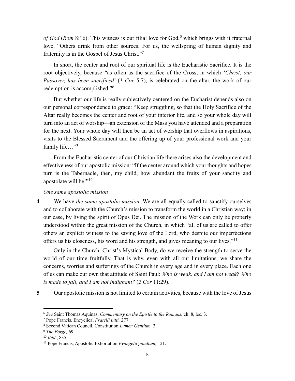of God (Rom 8:16). This witness is our filial love for God,<sup>6</sup> which brings with it fraternal love. "Others drink from other sources. For us, the wellspring of human dignity and fraternity is in the Gospel of Jesus Christ."7

In short, the center and root of our spiritual life is the Eucharistic Sacrifice. It is the root objectively, because "as often as the sacrifice of the Cross, in which '*Christ, our Passover, has been sacrificed*' (*1 Cor* 5:7), is celebrated on the altar, the work of our redemption is accomplished."<sup>8</sup>

But whether our life is really subjectively centered on the Eucharist depends also on our personal correspondence to grace: "Keep struggling, so that the Holy Sacrifice of the Altar really becomes the center and root of your interior life, and so your whole day will turn into an act of worship—an extension of the Mass you have attended and a preparation for the next. Your whole day will then be an act of worship that overflows in aspirations, visits to the Blessed Sacrament and the offering up of your professional work and your family life..."<sup>9</sup>

From the Eucharistic center of our Christian life there arises also the development and effectiveness of our apostolic mission: "If the center around which your thoughts and hopes turn is the Tabernacle, then, my child, how abundant the fruits of your sanctity and apostolate will be!"<sup>10</sup>

#### *One same apostolic mission*

**4** We have *the same apostolic mission*. We are all equally called to sanctify ourselves and to collaborate with the Church's mission to transform the world in a Christian way; in our case, by living the spirit of Opus Dei. The mission of the Work can only be properly understood within the great mission of the Church, in which "all of us are called to offer others an explicit witness to the saving love of the Lord, who despite our imperfections offers us his closeness, his word and his strength, and gives meaning to our lives."<sup>11</sup>

Only in the Church, Christ's Mystical Body, do we receive the strength to serve the world of our time fruitfully. That is why, even with all our limitations, we share the concerns, worries and sufferings of the Church in every age and in every place. Each one of us can make our own that attitude of Saint Paul: *Who is weak, and I am not weak? Who is made to fall, and I am not indignant?* (*2 Cor* 11:29).

l

**5** Our apostolic mission is not limited to certain activities, because with the love of Jesus

<sup>6</sup> *See* Saint Thomas Aquinas, *Commentary on the Epistle to the Romans,* ch. 8, lec. 3.

<sup>7</sup> Pope Francis, Encyclical *Fratelli tutti,* 277.

<sup>8</sup> Second Vatican Council, Constitution *Lumen Gentium,* 3.

<sup>9</sup> *The Forge,* 69.

<sup>10</sup> *Ibid.*, 835.

<sup>11</sup> Pope Francis, Apostolic Exhortation *Evangelii gaudium,* 121.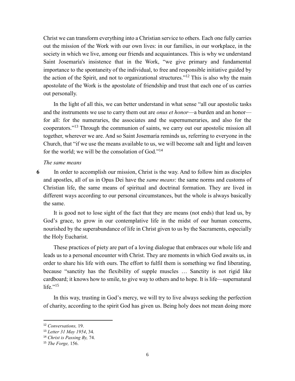Christ we can transform everything into a Christian service to others. Each one fully carries out the mission of the Work with our own lives: in our families, in our workplace, in the society in which we live, among our friends and acquaintances. This is why we understand Saint Josemaría's insistence that in the Work, "we give primary and fundamental importance to the spontaneity of the individual, to free and responsible initiative guided by the action of the Spirit, and not to organizational structures."<sup>12</sup> This is also why the main apostolate of the Work is the apostolate of friendship and trust that each one of us carries out personally.

In the light of all this, we can better understand in what sense "all our apostolic tasks and the instruments we use to carry them out are *onus et honor*—a burden and an honor for all: for the numeraries, the associates and the supernumeraries, and also for the cooperators." <sup>13</sup> Through the communion of saints, we carry out our apostolic mission all together, wherever we are. And so Saint Josemaría reminds us, referring to everyone in the Church, that "if we use the means available to us, we will become salt and light and leaven for the world; we will be the consolation of God."<sup>14</sup>

#### *The same means*

**6** In order to accomplish our mission, Christ is the way. And to follow him as disciples and apostles, all of us in Opus Dei have the *same means*: the same norms and customs of Christian life, the same means of spiritual and doctrinal formation. They are lived in different ways according to our personal circumstances, but the whole is always basically the same.

It is good not to lose sight of the fact that they are means (not ends) that lead us, by God's grace, to grow in our contemplative life in the midst of our human concerns, nourished by the superabundance of life in Christ given to us by the Sacraments, especially the Holy Eucharist.

These practices of piety are part of a loving dialogue that embraces our whole life and leads us to a personal encounter with Christ. They are moments in which God awaits us, in order to share his life with ours. The effort to fulfil them is something we find liberating, because "sanctity has the flexibility of supple muscles … Sanctity is not rigid like cardboard; it knows how to smile, to give way to others and to hope. It is life—supernatural life." $15$ 

In this way, trusting in God's mercy, we will try to live always seeking the perfection of charity, according to the spirit God has given us. Being holy does not mean doing more

<sup>12</sup> *Conversations,* 19.

<sup>13</sup> *Letter 31 May 1954*, 34.

<sup>14</sup> *Christ is Passing By,* 74.

<sup>15</sup> *The Forge,* 156.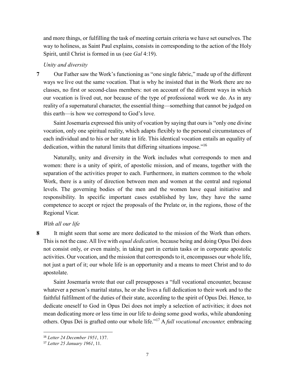and more things, or fulfilling the task of meeting certain criteria we have set ourselves. The way to holiness, as Saint Paul explains, consists in corresponding to the action of the Holy Spirit, until Christ is formed in us (see *Gal* 4:19).

## *Unity and diversity*

**7** Our Father saw the Work's functioning as "one single fabric," made up of the different ways we live out the same vocation. That is why he insisted that in the Work there are no classes, no first or second-class members: not on account of the different ways in which our vocation is lived out, nor because of the type of professional work we do. As in any reality of a supernatural character, the essential thing—something that cannot be judged on this earth—is how we correspond to God's love.

Saint Josemaría expressed this unity of vocation by saying that ours is "only one divine vocation, only one spiritual reality, which adapts flexibly to the personal circumstances of each individual and to his or her state in life. This identical vocation entails an equality of dedication, within the natural limits that differing situations impose."<sup>16</sup>

Naturally, unity and diversity in the Work includes what corresponds to men and women: there is a unity of spirit, of apostolic mission, and of means, together with the separation of the activities proper to each. Furthermore, in matters common to the whole Work, there is a unity of direction between men and women at the central and regional levels. The governing bodies of the men and the women have equal initiative and responsibility. In specific important cases established by law, they have the same competence to accept or reject the proposals of the Prelate or, in the regions, those of the Regional Vicar.

# *With all our life*

 $\overline{\phantom{a}}$ 

**8** It might seem that some are more dedicated to the mission of the Work than others. This is not the case. All live with *equal dedication,* because being and doing Opus Dei does not consist only, or even mainly, in taking part in certain tasks or in corporate apostolic activities. Our vocation, and the mission that corresponds to it, encompasses our whole life, not just a part of it; our whole life is an opportunity and a means to meet Christ and to do apostolate.

Saint Josemaría wrote that our call presupposes a "full vocational encounter, because whatever a person's marital status, he or she lives a full dedication to their work and to the faithful fulfilment of the duties of their state, according to the spirit of Opus Dei. Hence, to dedicate oneself to God in Opus Dei does not imply a selection of activities; it does not mean dedicating more or less time in our life to doing some good works, while abandoning others. Opus Dei is grafted onto our whole life." <sup>17</sup> A *full vocational encounter,* embracing

<sup>16</sup> *Letter 24 December 1951*, 137.

<sup>17</sup> *Letter 25 January 1961*, 11.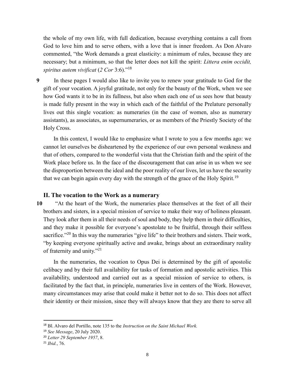the whole of my own life, with full dedication, because everything contains a call from God to love him and to serve others, with a love that is inner freedom. As Don Alvaro commented, "the Work demands a great elasticity: a minimum of rules, because they are necessary; but a minimum, so that the letter does not kill the spirit: *Littera enim occidit, spiritus autem vivificat* (*2 Cor* 3:6)."<sup>18</sup>

**9** In these pages I would also like to invite you to renew your gratitude to God for the gift of your vocation. A joyful gratitude, not only for the beauty of the Work, when we see how God wants it to be in its fullness, but also when each one of us sees how that beauty is made fully present in the way in which each of the faithful of the Prelature personally lives out this single vocation: as numeraries (in the case of women, also as numerary assistants), as associates, as supernumeraries, or as members of the Priestly Society of the Holy Cross.

In this context, I would like to emphasize what I wrote to you a few months ago: we cannot let ourselves be disheartened by the experience of our own personal weakness and that of others, compared to the wonderful vista that the Christian faith and the spirit of the Work place before us. In the face of the discouragement that can arise in us when we see the disproportion between the ideal and the poor reality of our lives, let us have the security that we can begin again every day with the strength of the grace of the Holy Spirit.<sup>19</sup>

#### **II. The vocation to the Work as a numerary**

**10** "At the heart of the Work, the numeraries place themselves at the feet of all their brothers and sisters, in a special mission of service to make their way of holiness pleasant. They look after them in all their needs of soul and body, they help them in their difficulties, and they make it possible for everyone's apostolate to be fruitful, through their selfless sacrifice."<sup>20</sup> In this way the numeraries "give life" to their brothers and sisters. Their work, "by keeping everyone spiritually active and awake, brings about an extraordinary reality of fraternity and unity."<sup>21</sup>

In the numeraries, the vocation to Opus Dei is determined by the gift of apostolic celibacy and by their full availability for tasks of formation and apostolic activities. This availability, understood and carried out as a special mission of service to others, is facilitated by the fact that, in principle, numeraries live in centers of the Work. However, many circumstances may arise that could make it better not to do so. This does not affect their identity or their mission, since they will always know that they are there to serve all

<sup>18</sup> Bl. Alvaro del Portillo, note 135 to the *Instruction on the Saint Michael Work.*

<sup>19</sup> *See Message*, 20 July 2020.

<sup>20</sup> *Letter 29 September 1957*, 8.

<sup>21</sup> *Ibid.*, 76.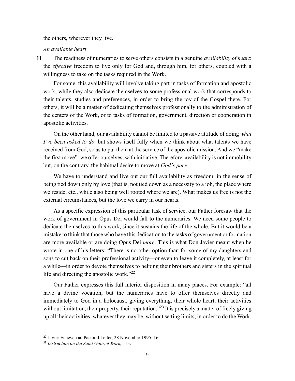the others, wherever they live.

*An available heart*

**11** The readiness of numeraries to serve others consists in a genuine *availability of heart*: the *effective* freedom to live only for God and, through him, for others, coupled with a willingness to take on the tasks required in the Work.

For some, this availability will involve taking part in tasks of formation and apostolic work, while they also dedicate themselves to some professional work that corresponds to their talents, studies and preferences, in order to bring the joy of the Gospel there. For others, it will be a matter of dedicating themselves professionally to the administration of the centers of the Work, or to tasks of formation, government, direction or cooperation in apostolic activities.

On the other hand, our availability cannot be limited to a passive attitude of doing *what I've been asked to do,* but shows itself fully when we think about what talents we have received from God, so as to put them at the service of the apostolic mission. And we "make the first move": we offer ourselves, with initiative. Therefore, availability is not immobility but, on the contrary, the habitual desire to move at *God's pace.*

We have to understand and live out our full availability as freedom, in the sense of being tied down only by love (that is, not tied down as a necessity to a job, the place where we reside, etc., while also being well rooted where we are). What makes us free is not the external circumstances, but the love we carry in our hearts.

As a specific expression of this particular task of service, our Father foresaw that the work of government in Opus Dei would fall to the numeraries. We need some people to dedicate themselves to this work, since it sustains the life of the whole. But it would be a mistake to think that those who have this dedication to the tasks of government or formation are more available or are doing Opus Dei *more*. This is what Don Javier meant when he wrote in one of his letters: "There is no other option than for some of my daughters and sons to cut back on their professional activity—or even to leave it completely, at least for a while—in order to devote themselves to helping their brothers and sisters in the spiritual life and directing the apostolic work."<sup>22</sup>

Our Father expresses this full interior disposition in many places. For example: "all have a divine vocation, but the numeraries have to offer themselves directly and immediately to God in a holocaust, giving everything, their whole heart, their activities without limitation, their property, their reputation."<sup>23</sup> It is precisely a matter of freely giving up all their activities, whatever they may be, without setting limits, in order to do the Work.

<sup>22</sup> Javier Echevarría, Pastoral Letter, 28 November 1995, 16.

<sup>23</sup> *Instruction on the Saint Gabriel Work,* 113.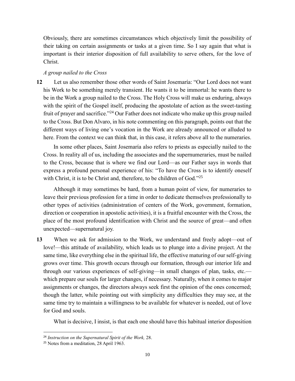Obviously, there are sometimes circumstances which objectively limit the possibility of their taking on certain assignments or tasks at a given time. So I say again that what is important is their interior disposition of full availability to serve others, for the love of Christ.

# *A group nailed to the Cross*

**12** Let us also remember those other words of Saint Josemaría: "Our Lord does not want his Work to be something merely transient. He wants it to be immortal: he wants there to be in the Work a group nailed to the Cross. The Holy Cross will make us enduring, always with the spirit of the Gospel itself, producing the apostolate of action as the sweet-tasting fruit of prayer and sacrifice."<sup>24</sup> Our Father does not indicate who make up this group nailed to the Cross. But Don Alvaro, in his note commenting on this paragraph, points out that the different ways of living one's vocation in the Work are already announced or alluded to here. From the context we can think that, in this case, it refers above all to the numeraries.

In some other places, Saint Josemaría also refers to priests as especially nailed to the Cross. In reality all of us, including the associates and the supernumeraries, must be nailed to the Cross, because that is where we find our Lord—as our Father says in words that express a profound personal experience of his: "To have the Cross is to identify oneself with Christ, it is to be Christ and, therefore, to be children of God."25

Although it may sometimes be hard, from a human point of view, for numeraries to leave their previous profession for a time in order to dedicate themselves professionally to other types of activities (administration of centers of the Work, government, formation, direction or cooperation in apostolic activities), it is a fruitful encounter with the Cross, the place of the most profound identification with Christ and the source of great—and often unexpected—supernatural joy.

**13** When we ask for admission to the Work, we understand and freely adopt—out of love!—this attitude of availability, which leads us to plunge into a divine project. At the same time, like everything else in the spiritual life, the effective maturing of our self-giving grows over time. This growth occurs through our formation, through our interior life and through our various experiences of self-giving—in small changes of plan, tasks, etc. which prepare our souls for larger changes, if necessary. Naturally, when it comes to major assignments or changes, the directors always seek first the opinion of the ones concerned; though the latter, while pointing out with simplicity any difficulties they may see, at the same time try to maintain a willingness to be available for whatever is needed, out of love for God and souls.

What is decisive, I insist, is that each one should have this habitual interior disposition

<sup>24</sup> *Instruction on the Supernatural Spirit of the Work,* 28.

<sup>&</sup>lt;sup>25</sup> Notes from a meditation, 28 April 1963.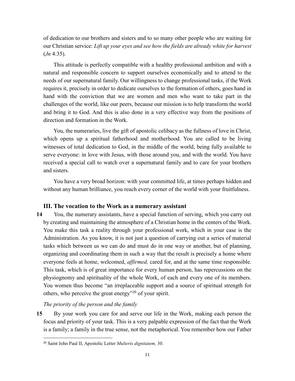of dedication to our brothers and sisters and to so many other people who are waiting for our Christian service: *Lift up your eyes and see how the fields are already white for harvest* (*Jn* 4:35).

This attitude is perfectly compatible with a healthy professional ambition and with a natural and responsible concern to support ourselves economically and to attend to the needs of our supernatural family. Our willingness to change professional tasks, if the Work requires it, precisely in order to dedicate ourselves to the formation of others, goes hand in hand with the conviction that we are women and men who want to take part in the challenges of the world, like our peers, because our mission is to help transform the world and bring it to God. And this is also done in a very effective way from the positions of direction and formation in the Work.

You, the numeraries, live the gift of apostolic celibacy as the fullness of love in Christ, which opens up a spiritual fatherhood and motherhood. You are called to be living witnesses of total dedication to God, in the middle of the world, being fully available to serve everyone: in love with Jesus, with those around you, and with the world. You have received a special call to watch over a supernatural family and to care for your brothers and sisters.

You have a very broad horizon: with your committed life, at times perhaps hidden and without any human brilliance, you reach every corner of the world with your fruitfulness.

# **III. The vocation to the Work as a numerary assistant**

**14** You, the numerary assistants, have a special function of serving, which you carry out by creating and maintaining the atmosphere of a Christian home in the centers of the Work. You make this task a reality through your professional work, which in your case is the Administration. As you know, it is not just a question of carrying out a series of material tasks which between us we can do and must do in one way or another, but of planning, organizing and coordinating them in such a way that the result is precisely a home where everyone feels at home, welcomed, *affirmed,* cared for, and at the same time responsible. This task, which is of great importance for every human person, has repercussions on the physiognomy and spirituality of the whole Work, of each and every one of its members. You women thus become "an irreplaceable support and a source of spiritual strength for others, who perceive the great energy"<sup>26</sup> of your spirit.

*The priority of the person and the family*

 $\overline{\phantom{a}}$ 

**15** By your work you care for and serve our life in the Work, making each person the focus and priority of your task. This is a very palpable expression of the fact that the Work is a family; a family in the true sense, not the metaphorical. You remember how our Father

<sup>26</sup> Saint John Paul II, Apostolic Letter *Mulieris dignitatem,* 30.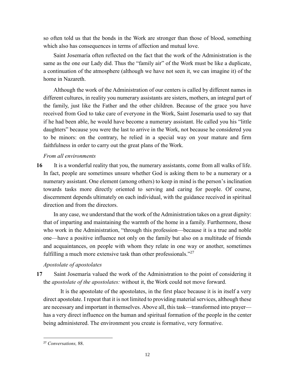so often told us that the bonds in the Work are stronger than those of blood, something which also has consequences in terms of affection and mutual love.

Saint Josemaría often reflected on the fact that the work of the Administration is the same as the one our Lady did. Thus the "family air" of the Work must be like a duplicate, a continuation of the atmosphere (although we have not seen it, we can imagine it) of the home in Nazareth.

Although the work of the Administration of our centers is called by different names in different cultures, in reality you numerary assistants are sisters, mothers, an integral part of the family, just like the Father and the other children. Because of the grace you have received from God to take care of everyone in the Work, Saint Josemaría used to say that if he had been able, he would have become a numerary assistant. He called you his "little daughters" because you were the last to arrive in the Work, not because he considered you to be minors: on the contrary, he relied in a special way on your mature and firm faithfulness in order to carry out the great plans of the Work.

# *From all environments*

**16** It is a wonderful reality that you, the numerary assistants, come from all walks of life. In fact, people are sometimes unsure whether God is asking them to be a numerary or a numerary assistant. One element (among others) to keep in mind is the person's inclination towards tasks more directly oriented to serving and caring for people. Of course, discernment depends ultimately on each individual, with the guidance received in spiritual direction and from the directors.

In any case, we understand that the work of the Administration takes on a great dignity: that of imparting and maintaining the warmth of the home in a family. Furthermore, those who work in the Administration, "through this profession—because it is a true and noble one—have a positive influence not only on the family but also on a multitude of friends and acquaintances, on people with whom they relate in one way or another, sometimes fulfilling a much more extensive task than other professionals."<sup>27</sup>

# *Apostolate of apostolates*

**17** Saint Josemaría valued the work of the Administration to the point of considering it the *apostolate of the apostolates:* without it, the Work could not move forward.

It is the apostolate of the apostolates, in the first place because it is in itself a very direct apostolate. I repeat that it is not limited to providing material services, although these are necessary and important in themselves. Above all, this task—transformed into prayer has a very direct influence on the human and spiritual formation of the people in the center being administered. The environment you create is formative, very formative.

<sup>27</sup> *Conversations,* 88.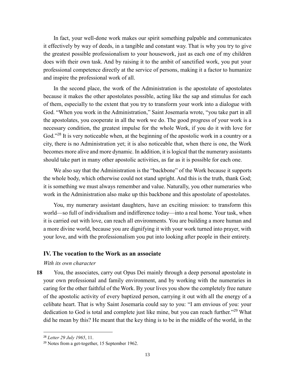In fact, your well-done work makes our spirit something palpable and communicates it effectively by way of deeds, in a tangible and constant way. That is why you try to give the greatest possible professionalism to your housework, just as each one of my children does with their own task. And by raising it to the ambit of sanctified work, you put your professional competence directly at the service of persons, making it a factor to humanize and inspire the professional work of all.

In the second place, the work of the Administration is the apostolate of apostolates because it makes the other apostolates possible, acting like the sap and stimulus for each of them, especially to the extent that you try to transform your work into a dialogue with God. "When you work in the Administration," Saint Josemaría wrote, "you take part in all the apostolates, you cooperate in all the work we do. The good progress of your work is a necessary condition, the greatest impulse for the whole Work, if you do it with love for God."<sup>28</sup> It is very noticeable when, at the beginning of the apostolic work in a country or a city, there is no Administration yet; it is also noticeable that, when there is one, the Work becomes more alive and more dynamic. In addition, it is logical that the numerary assistants should take part in many other apostolic activities, as far as it is possible for each one.

We also say that the Administration is the "backbone" of the Work because it supports the whole body, which otherwise could not stand upright. And this is the truth, thank God; it is something we must always remember and value. Naturally, you other numeraries who work in the Administration also make up this backbone and this apostolate of apostolates.

You, my numerary assistant daughters, have an exciting mission: to transform this world—so full of individualism and indifference today—into a real home. Your task, when it is carried out with love, can reach all environments. You are building a more human and a more divine world, because you are dignifying it with your work turned into prayer, with your love, and with the professionalism you put into looking after people in their entirety.

### **IV. The vocation to the Work as an associate**

*With its own character*

**18** You, the associates, carry out Opus Dei mainly through a deep personal apostolate in your own professional and family environment, and by working with the numeraries in caring for the other faithful of the Work. By your lives you show the completely free nature of the apostolic activity of every baptized person, carrying it out with all the energy of a celibate heart. That is why Saint Josemaría could say to you: "I am envious of you: your dedication to God is total and complete just like mine, but you can reach further."<sup>29</sup> What did he mean by this? He meant that the key thing is to be in the middle of the world, in the

<sup>28</sup> *Letter 29 July 1965*, 11.

<sup>&</sup>lt;sup>29</sup> Notes from a get-together, 15 September 1962.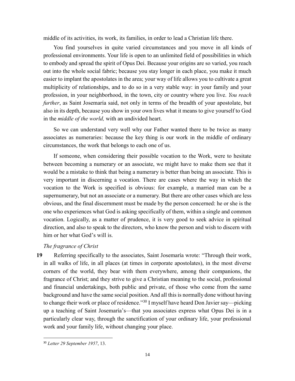middle of its activities, its work, its families, in order to lead a Christian life there.

You find yourselves in quite varied circumstances and you move in all kinds of professional environments. Your life is open to an unlimited field of possibilities in which to embody and spread the spirit of Opus Dei. Because your origins are so varied, you reach out into the whole social fabric; because you stay longer in each place, you make it much easier to implant the apostolates in the area; your way of life allows you to cultivate a great multiplicity of relationships, and to do so in a very stable way: in your family and your profession, in your neighborhood, in the town, city or country where you live. *You reach further*, as Saint Josemaría said, not only in terms of the breadth of your apostolate, but also in its depth, because you show in your own lives what it means to give yourself to God in the *middle of the world,* with an undivided heart.

So we can understand very well why our Father wanted there to be twice as many associates as numeraries: because the key thing is our work in the middle of ordinary circumstances, the work that belongs to each one of us.

If someone, when considering their possible vocation to the Work, were to hesitate between becoming a numerary or an associate, we might have to make them see that it would be a mistake to think that being a numerary is better than being an associate. This is very important in discerning a vocation. There are cases where the way in which the vocation to the Work is specified is obvious: for example, a married man can be a supernumerary, but not an associate or a numerary. But there are other cases which are less obvious, and the final discernment must be made by the person concerned: he or she is the one who experiences what God is asking specifically of them, within a single and common vocation. Logically, as a matter of prudence, it is very good to seek advice in spiritual direction, and also to speak to the directors, who know the person and wish to discern with him or her what God's will is.

# *The fragrance of Christ*

**19** Referring specifically to the associates, Saint Josemaría wrote: "Through their work, in all walks of life, in all places (at times in corporate apostolates), in the most diverse corners of the world, they bear with them everywhere, among their companions, the fragrance of Christ; and they strive to give a Christian meaning to the social, professional and financial undertakings, both public and private, of those who come from the same background and have the same social position. And all this is normally done without having to change their work or place of residence."<sup>30</sup> I myself have heard Don Javier say—picking up a teaching of Saint Josemaría's—that you associates express what Opus Dei is in a particularly clear way, through the sanctification of your ordinary life, your professional work and your family life, without changing your place.

<sup>30</sup> *Letter 29 September 1957*, 13.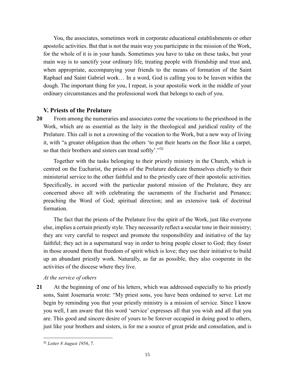You, the associates, sometimes work in corporate educational establishments or other apostolic activities. But that is not the main way you participate in the mission of the Work, for the whole of it is in your hands. Sometimes you have to take on these tasks, but your main way is to sanctify your ordinary life, treating people with friendship and trust and, when appropriate, accompanying your friends to the means of formation of the Saint Raphael and Saint Gabriel work… In a word, God is calling you to be leaven within the dough. The important thing for you, I repeat, is your apostolic work in the middle of your ordinary circumstances and the professional work that belongs to each of you.

# **V. Priests of the Prelature**

**20** From among the numeraries and associates come the vocations to the priesthood in the Work, which are as essential as the laity in the theological and juridical reality of the Prelature. This call is not a crowning of the vocation to the Work, but a new way of living it, with "a greater obligation than the others 'to put their hearts on the floor like a carpet, so that their brothers and sisters can tread softly'."31

Together with the tasks belonging to their priestly ministry in the Church, which is centred on the Eucharist, the priests of the Prelature dedicate themselves chiefly to their ministerial service to the other faithful and to the priestly care of their apostolic activities. Specifically, in accord with the particular pastoral mission of the Prelature, they are concerned above all with celebrating the sacraments of the Eucharist and Penance; preaching the Word of God; spiritual direction; and an extensive task of doctrinal formation.

The fact that the priests of the Prelature live the spirit of the Work, just like everyone else, implies a certain priestly style. They necessarily reflect a secular tone in their ministry; they are very careful to respect and promote the responsibility and initiative of the lay faithful; they act in a supernatural way in order to bring people closer to God; they foster in those around them that freedom of spirit which is love; they use their initiative to build up an abundant priestly work. Naturally, as far as possible, they also cooperate in the activities of the diocese where they live.

## *At the service of others*

**21** At the beginning of one of his letters, which was addressed especially to his priestly sons, Saint Josemaría wrote: "My priest sons, you have been ordained to serve. Let me begin by reminding you that your priestly ministry is a mission of service. Since I know you well, I am aware that this word 'service' expresses all that you wish and all that you are. This good and sincere desire of yours to be forever occupied in doing good to others, just like your brothers and sisters, is for me a source of great pride and consolation, and is

<sup>31</sup> *Letter 8 August 1956*, 7.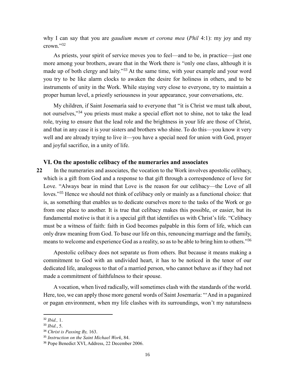why I can say that you are *gaudium meum et corona mea* (*Phil* 4:1): my joy and my crown." 32

As priests, your spirit of service moves you to feel—and to be, in practice—just one more among your brothers, aware that in the Work there is "only one class, although it is made up of both clergy and laity."<sup>33</sup> At the same time, with your example and your word you try to be like alarm clocks to awaken the desire for holiness in others, and to be instruments of unity in the Work. While staying very close to everyone, try to maintain a proper human level, a priestly seriousness in your appearance, your conversations, etc.

My children, if Saint Josemaría said to everyone that "it is Christ we must talk about, not ourselves,"<sup>34</sup> you priests must make a special effort not to shine, not to take the lead role, trying to ensure that the lead role and the brightness in your life are those of Christ, and that in any case it is your sisters and brothers who shine. To do this—you know it very well and are already trying to live it—you have a special need for union with God, prayer and joyful sacrifice, in a unity of life.

#### **VI. On the apostolic celibacy of the numeraries and associates**

**22** In the numeraries and associates, the vocation to the Work involves apostolic celibacy, which is a gift from God and a response to that gift through a correspondence of love for Love. "Always bear in mind that Love is the reason for our celibacy—the Love of all loves."<sup>35</sup> Hence we should not think of celibacy only or mainly as a functional choice: that is, as something that enables us to dedicate ourselves more to the tasks of the Work or go from one place to another. It is true that celibacy makes this possible, or easier, but its fundamental motive is that it is a special gift that identifies us with Christ's life. "Celibacy must be a witness of faith: faith in God becomes palpable in this form of life, which can only draw meaning from God. To base our life on this, renouncing marriage and the family, means to welcome and experience God as a reality, so as to be able to bring him to others."<sup>36</sup>

Apostolic celibacy does not separate us from others. But because it means making a commitment to God with an undivided heart, it has to be noticed in the tenor of our dedicated life, analogous to that of a married person, who cannot behave as if they had not made a commitment of faithfulness to their spouse.

A vocation, when lived radically, will sometimes clash with the standards of the world. Here, too, we can apply those more general words of Saint Josemaría: "'And in a paganized or pagan environment, when my life clashes with its surroundings, won't my naturalness

<sup>32</sup> *Ibid.,* 1.

<sup>33</sup> *Ibid.*, 5.

<sup>34</sup> *Christ is Passing By,* 163.

<sup>35</sup> *Instruction on the Saint Michael Work*, 84.

<sup>36</sup> Pope Benedict XVI, Address, 22 December 2006.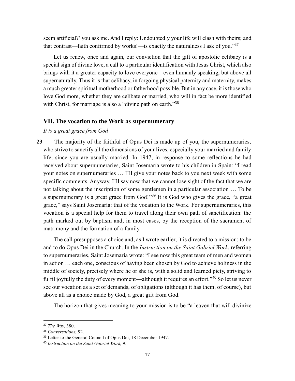seem artificial?' you ask me. And I reply: Undoubtedly your life will clash with theirs; and that contrast—faith confirmed by works!—is exactly the naturalness I ask of you."<sup>37</sup>

Let us renew, once and again, our conviction that the gift of apostolic celibacy is a special sign of divine love, a call to a particular identification with Jesus Christ, which also brings with it a greater capacity to love everyone—even humanly speaking, but above all supernaturally. Thus it is that celibacy, in forgoing physical paternity and maternity, makes a much greater spiritual motherhood or fatherhood possible. But in any case, it is those who love God more, whether they are celibate or married, who will in fact be more identified with Christ, for marriage is also a "divine path on earth."<sup>38</sup>

# **VII. The vocation to the Work as supernumerary**

*It is a great grace from God*

**23** The majority of the faithful of Opus Dei is made up of you, the supernumeraries, who strive to sanctify all the dimensions of your lives, especially your married and family life, since you are usually married. In 1947, in response to some reflections he had received about supernumeraries, Saint Josemaría wrote to his children in Spain: "I read your notes on supernumeraries … I'll give your notes back to you next week with some specific comments. Anyway, I'll say now that we cannot lose sight of the fact that we are not talking about the inscription of some gentlemen in a particular association … To be a supernumerary is a great grace from God!"<sup>39</sup> It is God who gives the grace, "a great grace," says Saint Josemaría: that of the vocation to the Work. For supernumeraries, this vocation is a special help for them to travel along their own path of sanctification: the path marked out by baptism and, in most cases, by the reception of the sacrament of matrimony and the formation of a family.

The call presupposes a choice and, as I wrote earlier, it is directed to a mission: to be and to do Opus Dei in the Church. In the *Instruction on the Saint Gabriel Work*, referring to supernumeraries, Saint Josemaría wrote: "I see now this great team of men and women in action … each one, conscious of having been chosen by God to achieve holiness in the middle of society, precisely where he or she is, with a solid and learned piety, striving to fulfil joyfully the duty of every moment—although it requires an effort."<sup>40</sup> So let us never see our vocation as a set of demands, of obligations (although it has them, of course), but above all as a choice made by God, a great gift from God.

The horizon that gives meaning to your mission is to be "a leaven that will divinize

<sup>37</sup> *The Way,* 380.

<sup>38</sup> *Conversations,* 92.

<sup>&</sup>lt;sup>39</sup> Letter to the General Council of Opus Dei, 18 December 1947.

<sup>40</sup> *Instruction on the Saint Gabriel Work,* 9.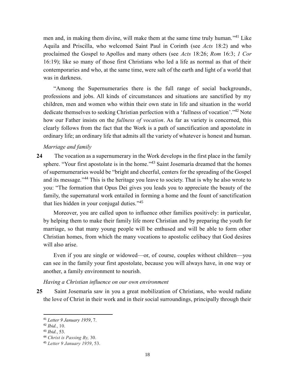men and, in making them divine, will make them at the same time truly human."<sup>41</sup> Like Aquila and Priscilla, who welcomed Saint Paul in Corinth (see *Acts* 18:2) and who proclaimed the Gospel to Apollos and many others (see *Acts* 18:26; *Rom* 16:3; *1 Cor* 16:19); like so many of those first Christians who led a life as normal as that of their contemporaries and who, at the same time, were salt of the earth and light of a world that was in darkness.

"Among the Supernumeraries there is the full range of social backgrounds, professions and jobs. All kinds of circumstances and situations are sanctified by my children, men and women who within their own state in life and situation in the world dedicate themselves to seeking Christian perfection with a 'fullness of vocation'."<sup>42</sup> Note how our Father insists on the *fullness of vocation*. As far as variety is concerned, this clearly follows from the fact that the Work is a path of sanctification and apostolate in ordinary life; an ordinary life that admits all the variety of whatever is honest and human.

## *Marriage and family*

**24** The vocation as a supernumerary in the Work develops in the first place in the family sphere. "Your first apostolate is in the home."<sup>43</sup> Saint Josemaría dreamed that the homes of supernumeraries would be "bright and cheerful, centers for the spreading of the Gospel and its message."<sup>44</sup> This is the heritage you leave to society. That is why he also wrote to you: "The formation that Opus Dei gives you leads you to appreciate the beauty of the family, the supernatural work entailed in forming a home and the fount of sanctification that lies hidden in your conjugal duties."<sup>45</sup>

Moreover, you are called upon to influence other families positively: in particular, by helping them to make their family life more Christian and by preparing the youth for marriage, so that many young people will be enthused and will be able to form other Christian homes, from which the many vocations to apostolic celibacy that God desires will also arise.

Even if you are single or widowed—or, of course, couples without children—you can see in the family your first apostolate, because you will always have, in one way or another, a family environment to nourish.

*Having a Christian influence on our own environment*

**25** Saint Josemaría saw in you a great mobilization of Christians, who would radiate the love of Christ in their work and in their social surroundings, principally through their

<sup>41</sup> *Letter 9 January 1959*, 7.

<sup>42</sup> *Ibid.*, 10.

<sup>43</sup> *Ibid.*, 53.

<sup>44</sup> *Christ is Passing By,* 30.

<sup>45</sup> *Letter 9 January 1959*, 53.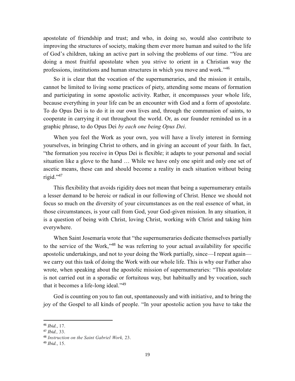apostolate of friendship and trust; and who, in doing so, would also contribute to improving the structures of society, making them ever more human and suited to the life of God's children, taking an active part in solving the problems of our time. "You are doing a most fruitful apostolate when you strive to orient in a Christian way the professions, institutions and human structures in which you move and work."<sup>46</sup>

So it is clear that the vocation of the supernumeraries, and the mission it entails, cannot be limited to living some practices of piety, attending some means of formation and participating in some apostolic activity. Rather, it encompasses your whole life, because everything in your life can be an encounter with God and a form of apostolate. To do Opus Dei is to do it in our own lives and, through the communion of saints, to cooperate in carrying it out throughout the world. Or, as our founder reminded us in a graphic phrase, to do Opus Dei *by each one being Opus Dei*.

When you feel the Work as your own, you will have a lively interest in forming yourselves, in bringing Christ to others, and in giving an account of your faith. In fact, "the formation you receive in Opus Dei is flexible; it adapts to your personal and social situation like a glove to the hand … While we have only one spirit and only one set of ascetic means, these can and should become a reality in each situation without being rigid." 47

This flexibility that avoids rigidity does not mean that being a supernumerary entails a lesser demand to be heroic or radical in our following of Christ. Hence we should not focus so much on the diversity of your circumstances as on the real essence of what, in those circumstances, is your call from God, your God-given mission. In any situation, it is a question of being with Christ, loving Christ, working with Christ and taking him everywhere.

When Saint Josemaría wrote that "the supernumeraries dedicate themselves partially to the service of the Work,"<sup>48</sup> he was referring to your actual availability for specific apostolic undertakings, and not to your doing the Work partially, since—I repeat again we carry out this task of doing the Work with our whole life. This is why our Father also wrote, when speaking about the apostolic mission of supernumeraries: "This apostolate is not carried out in a sporadic or fortuitous way, but habitually and by vocation, such that it becomes a life-long ideal."<sup>49</sup>

God is counting on you to fan out, spontaneously and with initiative, and to bring the joy of the Gospel to all kinds of people. "In your apostolic action you have to take the

<sup>46</sup> *Ibid.*, 17.

<sup>47</sup> *Ibid.,* 33.

<sup>48</sup> *Instruction on the Saint Gabriel Work,* 23.

<sup>49</sup> *Ibid.*, 15.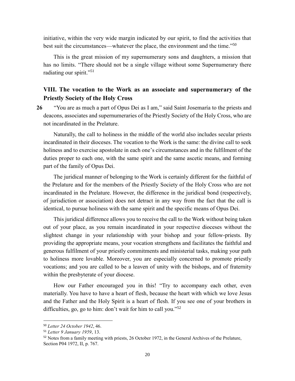initiative, within the very wide margin indicated by our spirit, to find the activities that best suit the circumstances—whatever the place, the environment and the time."<sup>50</sup>

This is the great mission of my supernumerary sons and daughters, a mission that has no limits. "There should not be a single village without some Supernumerary there radiating our spirit."<sup>51</sup>

# **VIII. The vocation to the Work as an associate and supernumerary of the Priestly Society of the Holy Cross**

**26** "You are as much a part of Opus Dei as I am," said Saint Josemaría to the priests and deacons, associates and supernumeraries of the Priestly Society of the Holy Cross, who are not incardinated in the Prelature.

Naturally, the call to holiness in the middle of the world also includes secular priests incardinated in their dioceses. The vocation to the Work is the same: the divine call to seek holiness and to exercise apostolate in each one's circumstances and in the fulfilment of the duties proper to each one, with the same spirit and the same ascetic means, and forming part of the family of Opus Dei.

The juridical manner of belonging to the Work is certainly different for the faithful of the Prelature and for the members of the Priestly Society of the Holy Cross who are not incardinated in the Prelature. However, the difference in the juridical bond (respectively, of jurisdiction or association) does not detract in any way from the fact that the call is identical, to pursue holiness with the same spirit and the specific means of Opus Dei.

This juridical difference allows you to receive the call to the Work without being taken out of your place, as you remain incardinated in your respective dioceses without the slightest change in your relationship with your bishop and your fellow-priests. By providing the appropriate means, your vocation strengthens and facilitates the faithful and generous fulfilment of your priestly commitments and ministerial tasks, making your path to holiness more lovable. Moreover, you are especially concerned to promote priestly vocations; and you are called to be a leaven of unity with the bishops, and of fraternity within the presbyterate of your diocese.

How our Father encouraged you in this! "Try to accompany each other, even materially. You have to have a heart of flesh, because the heart with which we love Jesus and the Father and the Holy Spirit is a heart of flesh. If you see one of your brothers in difficulties, go, go to him: don't wait for him to call you."<sup>52</sup>

<sup>50</sup> *Letter 24 October 1942*, 46.

<sup>51</sup> *Letter 9 January 1959*, 13.

<sup>52</sup> Notes from a family meeting with priests, 26 October 1972, in the General Archives of the Prelature, Section P04 1972, II, p. 767.